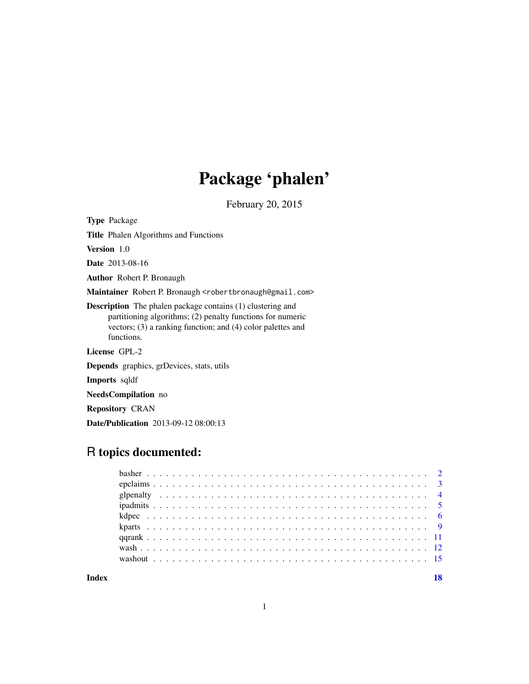# Package 'phalen'

February 20, 2015

<span id="page-0-0"></span>Type Package

Title Phalen Algorithms and Functions

Version 1.0

Date 2013-08-16

Author Robert P. Bronaugh

Maintainer Robert P. Bronaugh <robertbronaugh@gmail.com>

Description The phalen package contains (1) clustering and partitioning algorithms; (2) penalty functions for numeric vectors; (3) a ranking function; and (4) color palettes and functions.

License GPL-2

Depends graphics, grDevices, stats, utils

Imports sqldf

NeedsCompilation no

Repository CRAN

Date/Publication 2013-09-12 08:00:13

# R topics documented:

**Index** 2008 **[18](#page-17-0)** 

1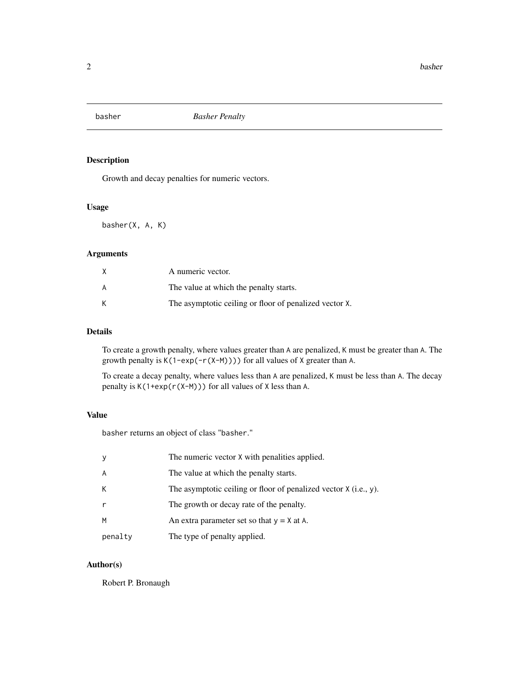<span id="page-1-0"></span>

# Description

Growth and decay penalties for numeric vectors.

# Usage

basher(X, A, K)

# Arguments

|   | A numeric vector.                                      |
|---|--------------------------------------------------------|
| А | The value at which the penalty starts.                 |
|   | The asymptotic ceiling or floor of penalized vector X. |

# Details

To create a growth penalty, where values greater than A are penalized, K must be greater than A. The growth penalty is K(1-exp(-r(X-M)))) for all values of X greater than A.

To create a decay penalty, where values less than A are penalized, K must be less than A. The decay penalty is  $K(1+exp(r(X-M)))$  for all values of X less than A.

#### Value

basher returns an object of class "basher."

| У       | The numeric vector X with penalities applied.                      |
|---------|--------------------------------------------------------------------|
| A       | The value at which the penalty starts.                             |
| К       | The asymptotic ceiling or floor of penalized vector $X$ (i.e., y). |
| r       | The growth or decay rate of the penalty.                           |
| M       | An extra parameter set so that $y = X$ at A.                       |
| penalty | The type of penalty applied.                                       |

# Author(s)

Robert P. Bronaugh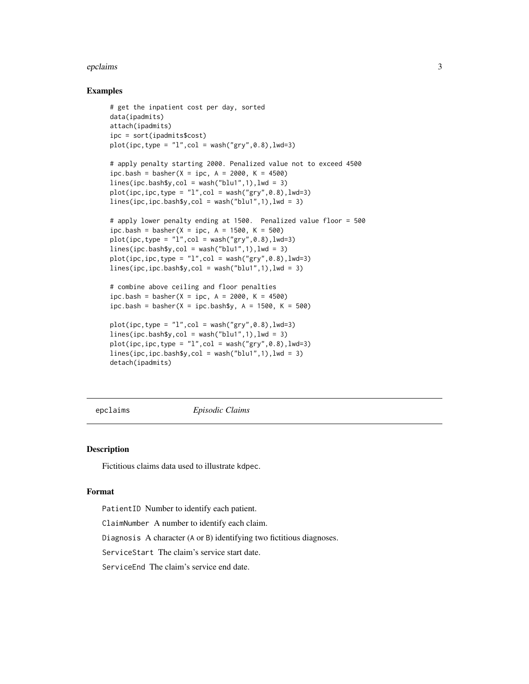#### <span id="page-2-0"></span>epclaims 3

#### Examples

```
# get the inpatient cost per day, sorted
data(ipadmits)
attach(ipadmits)
ipc = sort(ipadmits$cost)
plot(ipc, type = "l", col = wash("gry", 0.8), lwd=3)# apply penalty starting 2000. Penalized value not to exceed 4500
ipc.bash = basher(X = ipc, A = 2000, K = 4500)
lines(ipc.bash$y, col = wash('blu1", 1), lwd = 3)plot(ipc,ipc,type = "l",col = wash("gry", 0.8), lwd=3)lines(ipc, ipc.bash$y, col = wash("blu1", 1), lwd = 3)# apply lower penalty ending at 1500. Penalized value floor = 500
ipc.bash = basher(X = ipc, A = 1500, K = 500)
plot(ipc, type = "l", col = wash("gry", 0.8), lwd=3)lines(ipc.bash$y, col = wash("blu1", 1), lwd = 3)plot(ipc, ipc, type = "l", col = wash("gry", 0.8), lwd=3)lines(ipc,ipc.bash$y,col = wash("blu1",1),lwd = 3)
# combine above ceiling and floor penalties
ipc.bash = basher(X = ipc, A = 2000, K = 4500)
ipc.bash = basket(X = ipc.bash\, A = 1500, K = 500)
plot(ipc, type = "l", col = wash("gry", 0.8), lwd=3)lines(ipc.bash$y, col = wash("blu1", 1), lwd = 3)plot(ipc, ipc, type = "l", col = wash("gry", 0.8), lwd=3)
```
 $lines(ipc, ipc.bash$y, col = wash("blu1", 1), lwd = 3)$ detach(ipadmits)

epclaims *Episodic Claims*

#### **Description**

Fictitious claims data used to illustrate kdpec.

#### Format

PatientID Number to identify each patient.

ClaimNumber A number to identify each claim.

Diagnosis A character (A or B) identifying two fictitious diagnoses.

ServiceStart The claim's service start date.

ServiceEnd The claim's service end date.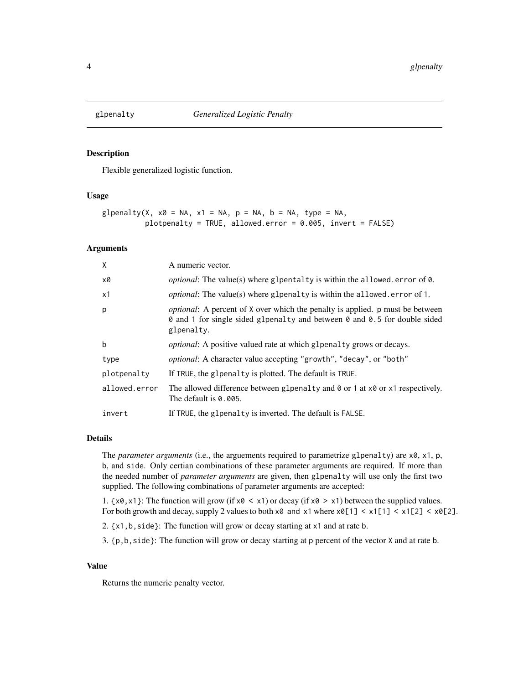<span id="page-3-1"></span><span id="page-3-0"></span>

# Description

Flexible generalized logistic function.

#### Usage

```
glpenalty(X, x0 = NA, x1 = NA, p = NA, b = NA, type = NA,
          plotpenalty = TRUE, allowed.error = 0.005, invert = FALSE)
```
#### Arguments

| $\mathsf{X}$  | A numeric vector.                                                                                                                                                                |
|---------------|----------------------------------------------------------------------------------------------------------------------------------------------------------------------------------|
| x0            | <i>optional</i> : The value(s) where glpentalty is within the allowed error of 0.                                                                                                |
| x1            | <i>optional</i> : The value(s) where glpenalty is within the allowed error of 1.                                                                                                 |
| p             | <i>optional</i> : A percent of X over which the penalty is applied. p must be between<br>⊘ and 1 for single sided g1pena1ty and between ⊘ and ⊘.5 for double sided<br>glpenalty. |
| $\mathbf b$   | optional: A positive valued rate at which glpenalty grows or decays.                                                                                                             |
| type          | optional: A character value accepting "growth", "decay", or "both"                                                                                                               |
| plotpenalty   | If TRUE, the glpenalty is plotted. The default is TRUE.                                                                                                                          |
| allowed.error | The allowed difference between glpenalty and $\theta$ or 1 at $\times \theta$ or $\times 1$ respectively.<br>The default is 0.005.                                               |
| invert        | If TRUE, the glpenalty is inverted. The default is FALSE.                                                                                                                        |

#### Details

The *parameter arguments* (i.e., the arguements required to parametrize glpenalty) are x0, x1, p, b, and side. Only certian combinations of these parameter arguments are required. If more than the needed number of *parameter arguments* are given, then glpenalty will use only the first two supplied. The following combinations of parameter arguments are accepted:

1.  $\{x0, x1\}$ : The function will grow (if  $x0 < x1$ ) or decay (if  $x0 > x1$ ) between the supplied values. For both growth and decay, supply 2 values to both  $x0$  and  $x1$  where  $x0[1] < x1[2] < x0[2] < x0[2]$ .

2. {x1,b,side}: The function will grow or decay starting at x1 and at rate b.

3. {p,b,side}: The function will grow or decay starting at p percent of the vector X and at rate b.

# Value

Returns the numeric penalty vector.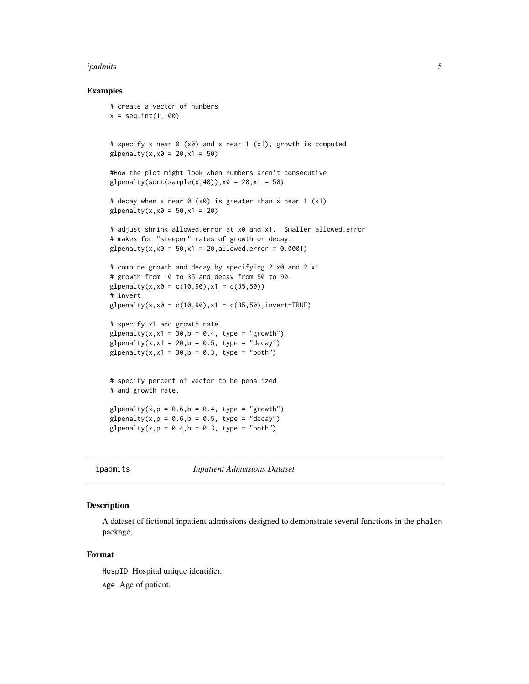#### <span id="page-4-0"></span>ipadmits 5 to 1999 to 1999 to 1999 to 1999 to 1999 to 1999 to 1999 to 1999 to 1999 to 1999 to 1999 to 1999 to 1

#### Examples

```
# create a vector of numbers
x = seq.int(1,100)# specify x near 0 (x0) and x near 1 (x1), growth is computed
g1penalty(x,x0 = 20,x1 = 50)
#How the plot might look when numbers aren't consecutive
glpenalty(sort(sample(x,40)),x0 = 20, x1 = 50)
# decay when x near 0 (x0) is greater than x near 1 (x1)
g1penalty(x,x0 = 50,x1 = 20)
# adjust shrink allowed.error at x0 and x1. Smaller allowed.error
# makes for "steeper" rates of growth or decay.
glpenalty(x,x0 = 50,x1 = 20,allowed.error = 0.0001)
# combine growth and decay by specifying 2 x0 and 2 x1
# growth from 10 to 35 and decay from 50 to 90.
glpenalty(x,x0 = c(10,90),x1 = c(35,50))# invert
glpenalty(x,x\theta = c(10, 90),x1 = c(35, 50), invert=TRUE)
# specify x1 and growth rate.
glpenalty(x, x1 = 30, b = 0.4, type = "growth")
glpenalty(x, x1 = 20, b = 0.5, type = "decay")
glpenalty(x, x1 = 30, b = 0.3, type = "both")
# specify percent of vector to be penalized
# and growth rate.
glpenalty(x,p = 0.6,b = 0.4, type = "growth")
glpenalty(x,p = 0.6,b = 0.5, type = "decay")
glpenalty(x,p = 0.4,b = 0.3, type = "both")
```
ipadmits *Inpatient Admissions Dataset*

#### **Description**

A dataset of fictional inpatient admissions designed to demonstrate several functions in the phalen package.

#### Format

HospID Hospital unique identifier.

Age Age of patient.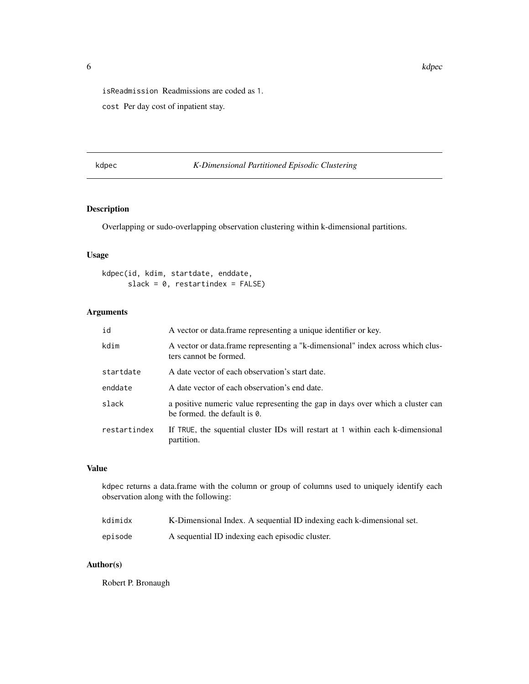<span id="page-5-0"></span>isReadmission Readmissions are coded as 1.

cost Per day cost of inpatient stay.

# kdpec *K-Dimensional Partitioned Episodic Clustering*

# Description

Overlapping or sudo-overlapping observation clustering within k-dimensional partitions.

#### Usage

```
kdpec(id, kdim, startdate, enddate,
     slack = 0, restartindex = FALSE)
```
#### Arguments

| id           | A vector or data frame representing a unique identifier or key.                                                |
|--------------|----------------------------------------------------------------------------------------------------------------|
| kdim         | A vector or data frame representing a "k-dimensional" index across which clus-<br>ters cannot be formed.       |
| startdate    | A date vector of each observation's start date.                                                                |
| enddate      | A date vector of each observation's end date.                                                                  |
| slack        | a positive numeric value representing the gap in days over which a cluster can<br>be formed, the default is 0. |
| restartindex | If TRUE, the squential cluster IDs will restart at 1 within each k-dimensional<br>partition.                   |

#### Value

kdpec returns a data.frame with the column or group of columns used to uniquely identify each observation along with the following:

| kdimidx | K-Dimensional Index. A sequential ID indexing each k-dimensional set. |
|---------|-----------------------------------------------------------------------|
| episode | A sequential ID indexing each episodic cluster.                       |

# Author(s)

Robert P. Bronaugh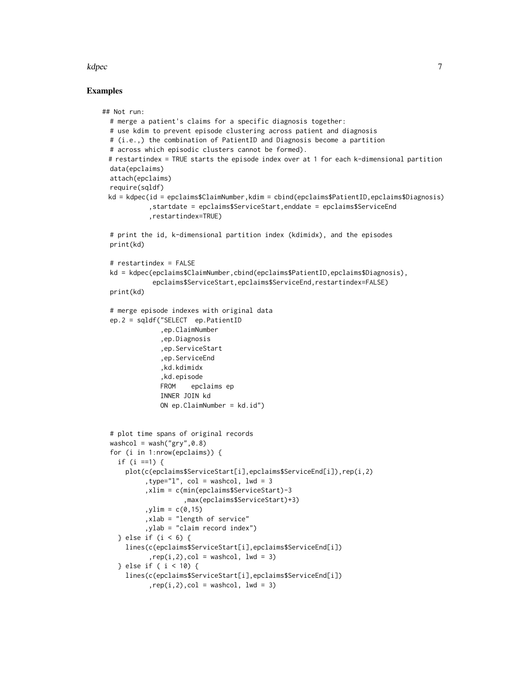#### kdpec 7 and 2007 and 2008 and 2008 and 2008 and 2008 and 2008 and 2008 and 2008 and 2008 and 2008 and 2008 and

#### Examples

```
## Not run:
 # merge a patient's claims for a specific diagnosis together:
 # use kdim to prevent episode clustering across patient and diagnosis
 # (i.e.,) the combination of PatientID and Diagnosis become a partition
 # across which episodic clusters cannot be formed).
 # restartindex = TRUE starts the episode index over at 1 for each k-dimensional partition
 data(epclaims)
 attach(epclaims)
 require(sqldf)
 kd = kdpec(id = epclaims$ClaimNumber,kdim = cbind(epclaims$PatientID,epclaims$Diagnosis)
            ,startdate = epclaims$ServiceStart,enddate = epclaims$ServiceEnd
            ,restartindex=TRUE)
  # print the id, k-dimensional partition index (kdimidx), and the episodes
 print(kd)
 # restartindex = FALSE
 kd = kdpec(epclaims$ClaimNumber,cbind(epclaims$PatientID,epclaims$Diagnosis),
             epclaims$ServiceStart,epclaims$ServiceEnd,restartindex=FALSE)
 print(kd)
 # merge episode indexes with original data
 ep.2 = sqldf("SELECT ep.PatientID
               ,ep.ClaimNumber
               ,ep.Diagnosis
               ,ep.ServiceStart
               ,ep.ServiceEnd
               ,kd.kdimidx
               ,kd.episode
               FROM epclaims ep
               INNER JOIN kd
               ON ep.ClaimNumber = kd.id")
 # plot time spans of original records
 washcol = wash("gry",0.8)
 for (i in 1:nrow(epclaims)) {
    if (i ==1) {
     plot(c(epclaims$ServiceStart[i],epclaims$ServiceEnd[i]),rep(i,2)
           ,type="l", col = washcol, lwd = 3
           ,xlim = c(min(epclaims$ServiceStart)-3
                     ,max(epclaims$ServiceStart)+3)
           , ylim = c(0, 15),xlab = "length of service"
           ,ylab = "claim record index")
    } else if (i < 6) {
     lines(c(epclaims$ServiceStart[i],epclaims$ServiceEnd[i])
            , rep(i,2), col = washcol, lwd = 3)} else if ( i < 10) {
     lines(c(epclaims$ServiceStart[i],epclaims$ServiceEnd[i])
            , rep(i,2), col = washcol, lwd = 3)
```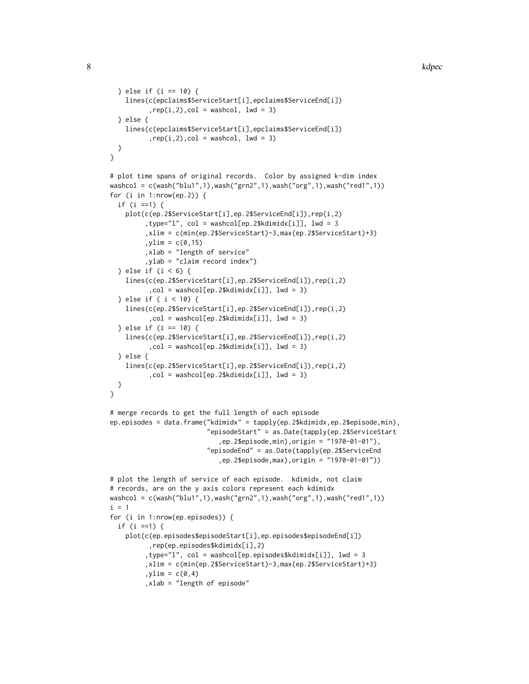```
} else if (i == 10) {
    lines(c(epclaims$ServiceStart[i],epclaims$ServiceEnd[i])
          , rep(i,2), col = washcol, lwd = 3)} else {
    lines(c(epclaims$ServiceStart[i],epclaims$ServiceEnd[i])
          , rep(i,2), col = washcol, lwd = 3)}
}
# plot time spans of original records. Color by assigned k-dim index
washcol = c(wash("blu1",1),wash("grn2",1),wash("org",1),wash("red1",1))
for (i in 1:nrow(ep.2)) {
  if (i ==1) {
    plot(c(ep.2$ServiceStart[i],ep.2$ServiceEnd[i]),rep(i,2)
         ,type="l", col = washcol[ep.2$kdimidx[i]], lwd = 3
         ,xlim = c(min(ep.2$ServiceStart)-3,max(ep.2$ServiceStart)+3)
         ,ylim = c(0,15),xlab = "length of service"
         ,ylab = "claim record index")
  } else if (i < 6) {
    lines(c(ep.2$ServiceStart[i],ep.2$ServiceEnd[i]),rep(i,2)
          ,col = washcol[ep.2$kdimidx[i]], lwd = 3)
  } else if ( i < 10) {
    lines(c(ep.2$ServiceStart[i],ep.2$ServiceEnd[i]),rep(i,2)
          ,col = washcol[ep.2$kdimidx[i]], lwd = 3)
  } else if (i == 10) {
    lines(c(ep.2$ServiceStart[i],ep.2$ServiceEnd[i]),rep(i,2)
          ,col = washcol[ep.2$kdimidx[i]], lwd = 3)
  } else {
    lines(c(ep.2$ServiceStart[i],ep.2$ServiceEnd[i]),rep(i,2)
          ,col = washcol[ep.2$kdimidx[i]], lwd = 3)
 }
}
# merge records to get the full length of each episode
ep.episodes = data.frame("kdimidx" = tapply(ep.2$kdimidx,ep.2$episode,min),
                         "episodeStart" = as.Date(tapply(ep.2$ServiceStart
                            ,ep.2$episode,min),origin = "1970-01-01"),
                         "episodeEnd" = as.Date(tapply(ep.2$ServiceEnd
                            ,ep.2$episode,max),origin = "1970-01-01"))
# plot the length of service of each episode. kdimidx, not claim
# records, are on the y axis colors represent each kdimidx
washcol = c(wash("blu1",1),wash("grn2",1),wash("org",1),wash("red1",1))
i = 1for (i in 1:nrow(ep.episodes)) {
  if (i ==1) {
    plot(c(ep.episodes$episodeStart[i],ep.episodes$episodeEnd[i])
          ,rep(ep.episodes$kdimidx[i],2)
         ,type="l", col = washcol[ep.episodes$kdimidx[i]], lwd = 3
         ,xlim = c(min(ep.2$ServiceStart)-3,max(ep.2$ServiceStart)+3)
```

```
,ylim = c(0,4)
```

```
,xlab = "length of episode"
```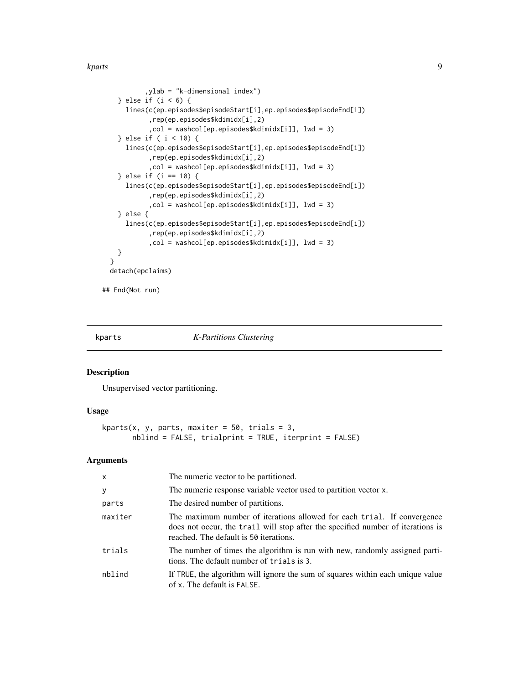<span id="page-8-0"></span>kparts 50 and 200 kparts 9 and 200 kparts 60 and 200 kparts 60 and 200 kparts 60 and 200 kparts 60 and 200 kpar

```
,ylab = "k-dimensional index")
    } else if (i < 6) {
     lines(c(ep.episodes$episodeStart[i],ep.episodes$episodeEnd[i])
            ,rep(ep.episodes$kdimidx[i],2)
            ,col = washcol[ep.episodes$kdimidx[i]], lwd = 3)
    } else if ( i < 10) {
     lines(c(ep.episodes$episodeStart[i],ep.episodes$episodeEnd[i])
            ,rep(ep.episodes$kdimidx[i],2)
            ,col = washcol[ep.episodes$kdimidx[i]], lwd = 3)
    } else if (i == 10) {
     lines(c(ep.episodes$episodeStart[i],ep.episodes$episodeEnd[i])
            ,rep(ep.episodes$kdimidx[i],2)
            ,col = washcol[ep.episodes$kdimidx[i]], lwd = 3)
    } else {
     lines(c(ep.episodes$episodeStart[i],ep.episodes$episodeEnd[i])
            ,rep(ep.episodes$kdimidx[i],2)
            ,col = washcol[ep.episodes$kdimidx[i]], lwd = 3)
   }
 }
 detach(epclaims)
## End(Not run)
```
#### kparts *K-Partitions Clustering*

# Description

Unsupervised vector partitioning.

#### Usage

```
kparts(x, y, parts, maxiter = 50, trials = 3,
      nblind = FALSE, trialprint = TRUE, iterprint = FALSE)
```
#### Arguments

| $\mathsf{x}$ | The numeric vector to be partitioned.                                                                                                                                                                |
|--------------|------------------------------------------------------------------------------------------------------------------------------------------------------------------------------------------------------|
| y            | The numeric response variable vector used to partition vector x.                                                                                                                                     |
| parts        | The desired number of partitions.                                                                                                                                                                    |
| maxiter      | The maximum number of iterations allowed for each trial. If convergence<br>does not occur, the trail will stop after the specified number of iterations is<br>reached. The default is 50 iterations. |
| trials       | The number of times the algorithm is run with new, randomly assigned parti-<br>tions. The default number of trials is 3.                                                                             |
| nblind       | If TRUE, the algorithm will ignore the sum of squares within each unique value<br>of x. The default is FALSE.                                                                                        |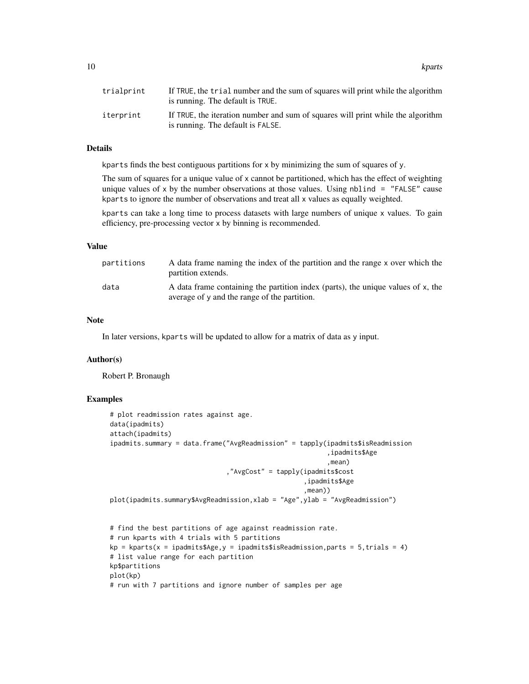10 kparts

| trialprint | If TRUE, the trial number and the sum of squares will print while the algorithm<br>is running. The default is TRUE.  |
|------------|----------------------------------------------------------------------------------------------------------------------|
| iterprint  | If TRUE, the iteration number and sum of squares will print while the algorithm<br>is running. The default is FALSE. |

#### Details

kparts finds the best contiguous partitions for  $x$  by minimizing the sum of squares of y.

The sum of squares for a unique value of x cannot be partitioned, which has the effect of weighting unique values of x by the number observations at those values. Using nblind  $=$  "FALSE" cause kparts to ignore the number of observations and treat all x values as equally weighted.

kparts can take a long time to process datasets with large numbers of unique x values. To gain efficiency, pre-processing vector x by binning is recommended.

# Value

| partitions | A data frame naming the index of the partition and the range x over which the<br>partition extends.                              |
|------------|----------------------------------------------------------------------------------------------------------------------------------|
| data       | A data frame containing the partition index (parts), the unique values of x, the<br>average of y and the range of the partition. |

#### Note

In later versions, kparts will be updated to allow for a matrix of data as y input.

#### Author(s)

Robert P. Bronaugh

#### Examples

```
# plot readmission rates against age.
data(ipadmits)
attach(ipadmits)
ipadmits.summary = data.frame("AvgReadmission" = tapply(ipadmits$isReadmission
                                                        ,ipadmits$Age
                                                         ,mean)
                              ,"AvgCost" = tapply(ipadmits$cost
                                                  ,ipadmits$Age
                                                  ,mean))
plot(ipadmits.summary$AvgReadmission,xlab = "Age",ylab = "AvgReadmission")
# find the best partitions of age against readmission rate.
# run kparts with 4 trials with 5 partitions
kp = kparts(x = ipadmits$Age, y = ipadmits$isReadmission, parts = 5, trials = 4)# list value range for each partition
kp$partitions
plot(kp)
# run with 7 partitions and ignore number of samples per age
```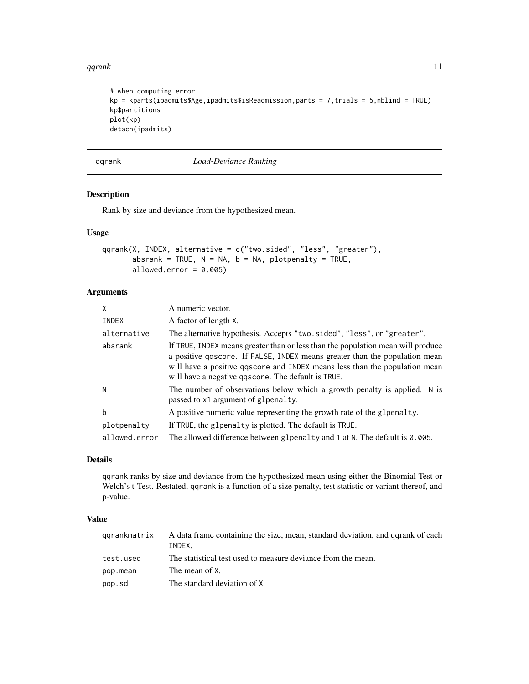<span id="page-10-0"></span>qqrank 11

```
# when computing error
kp = kparts(ipadmits$Age,ipadmits$isReadmission,parts = 7,trials = 5,nblind = TRUE)
kp$partitions
plot(kp)
detach(ipadmits)
```
qqrank *Load-Deviance Ranking*

# Description

Rank by size and deviance from the hypothesized mean.

# Usage

```
qqrank(X, INDEX, alternative = c("two.sided", "less", "greater"),
       absrank = TRUE, N = NA, b = NA, plotpenalty = TRUE,
       allowed.error = 0.005)
```
# Arguments

| $\mathsf{X}$  | A numeric vector.                                                                                                                                                                                                                                                                                 |
|---------------|---------------------------------------------------------------------------------------------------------------------------------------------------------------------------------------------------------------------------------------------------------------------------------------------------|
| INDEX         | A factor of length X.                                                                                                                                                                                                                                                                             |
| alternative   | The alternative hypothesis. Accepts "two.sided", "less", or "greater".                                                                                                                                                                                                                            |
| absrank       | If TRUE, INDEX means greater than or less than the population mean will produce<br>a positive question of FALSE, INDEX means greater than the population mean<br>will have a positive qqscore and INDEX means less than the population mean<br>will have a negative q score. The default is TRUE. |
| N             | The number of observations below which a growth penalty is applied. N is<br>passed to x1 argument of glpenalty.                                                                                                                                                                                   |
| h             | A positive numeric value representing the growth rate of the glpenalty.                                                                                                                                                                                                                           |
| plotpenalty   | If TRUE, the glpenalty is plotted. The default is TRUE.                                                                                                                                                                                                                                           |
| allowed.error | The allowed difference between glpenalty and 1 at N. The default is 0.005.                                                                                                                                                                                                                        |

# Details

qqrank ranks by size and deviance from the hypothesized mean using either the Binomial Test or Welch's t-Test. Restated, qqrank is a function of a size penalty, test statistic or variant thereof, and p-value.

# Value

| qqrankmatrix | A data frame containing the size, mean, standard deviation, and qqrank of each<br>INDEX. |
|--------------|------------------------------------------------------------------------------------------|
| test.used    | The statistical test used to measure deviance from the mean.                             |
| pop.mean     | The mean of X.                                                                           |
| pop.sd       | The standard deviation of X.                                                             |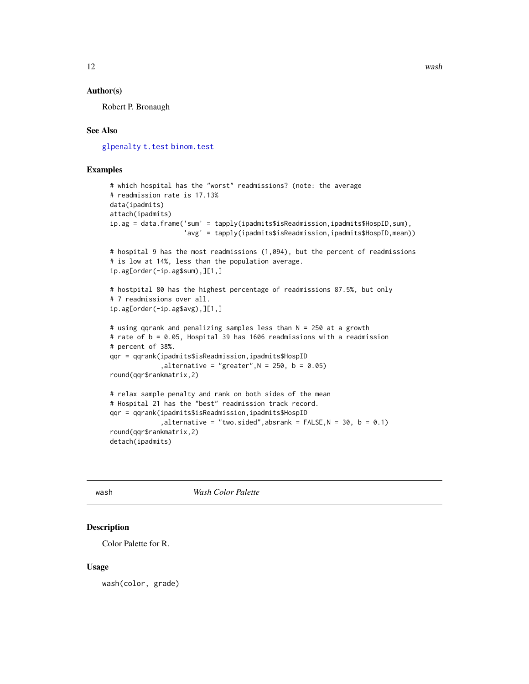#### <span id="page-11-0"></span>Author(s)

Robert P. Bronaugh

# See Also

[glpenalty](#page-3-1) [t.test](#page-0-0) [binom.test](#page-0-0)

# Examples

```
# which hospital has the "worst" readmissions? (note: the average
# readmission rate is 17.13%
data(ipadmits)
attach(ipadmits)
ip.ag = data.frame('sum' = tapply(ipadmits$isReadmission,ipadmits$HospID,sum),
                   'avg' = tapply(ipadmits$isReadmission,ipadmits$HospID,mean))
# hospital 9 has the most readmissions (1,094), but the percent of readmissions
# is low at 14%, less than the population average.
ip.ag[order(-ip.ag$sum),][1,]
# hostpital 80 has the highest percentage of readmissions 87.5%, but only
# 7 readmissions over all.
ip.ag[order(-ip.ag$avg),][1,]
# using qqrank and penalizing samples less than N = 250 at a growth
# rate of b = 0.05, Hospital 39 has 1606 readmissions with a readmission
# percent of 38%.
qqr = qqrank(ipadmits$isReadmission,ipadmits$HospID
             ,alternative = "greater",N = 250, b = 0.05)
round(qqr$rankmatrix,2)
# relax sample penalty and rank on both sides of the mean
# Hospital 21 has the "best" readmission track record.
qqr = qqrank(ipadmits$isReadmission,ipadmits$HospID
             ,alternative = "two.sided",absrank = FALSE, N = 30, b = 0.1)round(qqr$rankmatrix,2)
```
detach(ipadmits)

<span id="page-11-1"></span>wash *Wash Color Palette*

# Description

Color Palette for R.

#### Usage

wash(color, grade)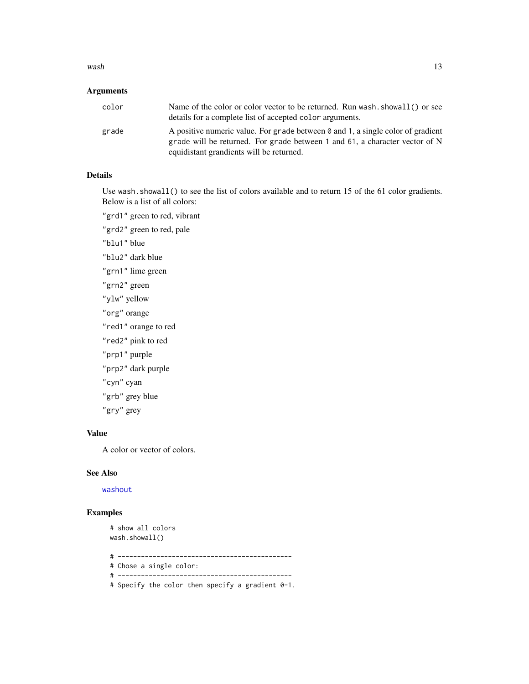#### <span id="page-12-0"></span> $wash$  13

# Arguments

| color | Name of the color or color vector to be returned. Run wash, showall () or see<br>details for a complete list of accepted color arguments.                                                                  |
|-------|------------------------------------------------------------------------------------------------------------------------------------------------------------------------------------------------------------|
| grade | A positive numeric value. For grade between 0 and 1, a single color of gradient<br>grade will be returned. For grade between 1 and 61, a character vector of N<br>equidistant grandients will be returned. |

# Details

Use wash. showall() to see the list of colors available and to return 15 of the 61 color gradients. Below is a list of all colors:

"grd1" green to red, vibrant

"grd2" green to red, pale

"blu1" blue

- "blu2" dark blue
- "grn1" lime green
- "grn2" green
- "ylw" yellow
- "org" orange
- "red1" orange to red
- "red2" pink to red
- "prp1" purple
- "prp2" dark purple
- "cyn" cyan
- "grb" grey blue
- "gry" grey

# Value

A color or vector of colors.

### See Also

[washout](#page-14-1)

# Examples

```
# show all colors
wash.showall()
```
- # ---------------------------------------------
- # Chose a single color:
- # ---------------------------------------------
- # Specify the color then specify a gradient 0-1.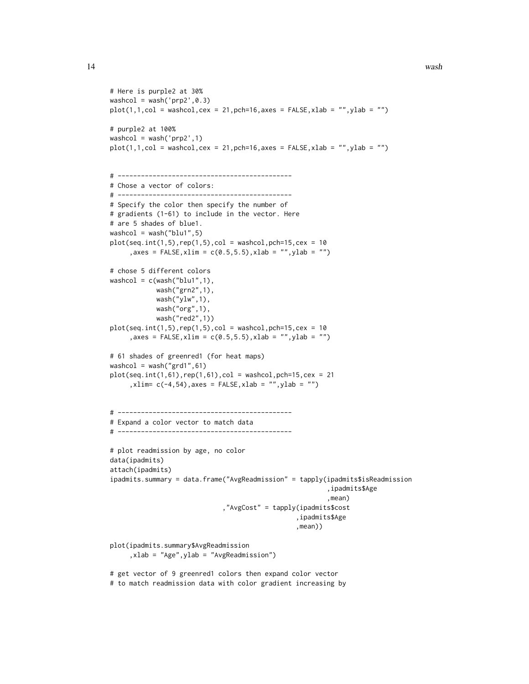```
# Here is purple2 at 30%
washcol = wash('prp2',0.3)
plot(1,1,col = washcol, cex = 21, pch=16, axes = FALSE, xlab = "", ylab = "")# purple2 at 100%
washcol = wash('prp2',1)
plot(1,1,col = washcol, cex = 21, pch=16, axes = FALSE, xlab = "", ylab = "")# ---------------------------------------------
# Chose a vector of colors:
# ---------------------------------------------
# Specify the color then specify the number of
# gradients (1-61) to include in the vector. Here
# are 5 shades of blue1.
washcol = wash("blu1",5)
plot(seq.int(1,5),rep(1,5),col = washcol,peh=15,cex = 10, axes = FALSE, xlim = c(0.5, 5.5), xlab = "", ylab = "")# chose 5 different colors
washcol = c(wash("blu1", 1),wash("grn2",1),
            wash("ylw",1),
            wash("org",1),
            wash("red2",1))
plot(seq.int(1,5), rep(1,5),col = washcol, pch=15, cex = 10, axes = FALSE, xlim = c(0.5, 5.5), xlab = "", ylab = "")# 61 shades of greenred1 (for heat maps)
washcol = wash("grd1", 61)plot(seq.int(1,61),rep(1,61),col = washcol,pch=15,cex = 21,xlim= c(-4,54),axes = FALSE,xlab = "",ylab = "")
# ---------------------------------------------
# Expand a color vector to match data
# ---------------------------------------------
# plot readmission by age, no color
data(ipadmits)
attach(ipadmits)
ipadmits.summary = data.frame("AvgReadmission" = tapply(ipadmits$isReadmission
                                                         ,ipadmits$Age
                                                         ,mean)
                             ,"AvgCost" = tapply(ipadmits$cost
                                                 ,ipadmits$Age
                                                 ,mean))
plot(ipadmits.summary$AvgReadmission
     ,xlab = "Age",ylab = "AvgReadmission")
```
# get vector of 9 greenred1 colors then expand color vector # to match readmission data with color gradient increasing by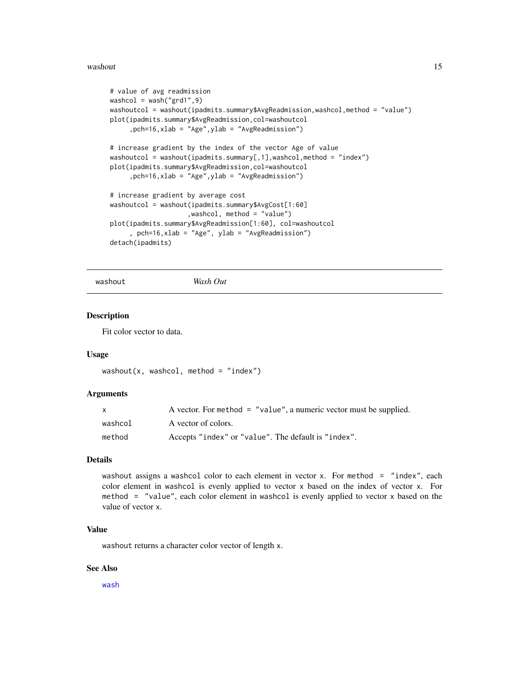#### <span id="page-14-0"></span>washout 15

```
# value of avg readmission
washcol = wash("grd1", 9)washoutcol = washout(ipadmits.summary$AvgReadmission,washcol,method = "value")
plot(ipadmits.summary$AvgReadmission,col=washoutcol
     ,pch=16,xlab = "Age",ylab = "AvgReadmission")
# increase gradient by the index of the vector Age of value
washoutcol = washout(ipadmits.summary[,1],washcol,method = "index")
plot(ipadmits.summary$AvgReadmission,col=washoutcol
     ,pch=16,xlab = "Age",ylab = "AvgReadmission")
# increase gradient by average cost
washoutcol = washout(ipadmits.summary$AvgCost[1:60]
                    ,washcol, method = "value")
plot(ipadmits.summary$AvgReadmission[1:60], col=washoutcol
     , pch=16,xlab = "Age", ylab = "AvgReadmission")
detach(ipadmits)
```
<span id="page-14-1"></span>washout *Wash Out*

#### Description

Fit color vector to data.

#### Usage

```
washout(x, washcol, method = "index")
```
#### Arguments

| X       | A vector. For method $=$ "value", a numeric vector must be supplied. |
|---------|----------------------------------------------------------------------|
| washcol | A vector of colors.                                                  |
| method  | Accepts "index" or "value". The default is "index".                  |

#### Details

washout assigns a washcol color to each element in vector x. For method = "index", each color element in washcol is evenly applied to vector x based on the index of vector x. For method = "value", each color element in washcol is evenly applied to vector x based on the value of vector x.

# Value

washout returns a character color vector of length x.

### See Also

[wash](#page-11-1)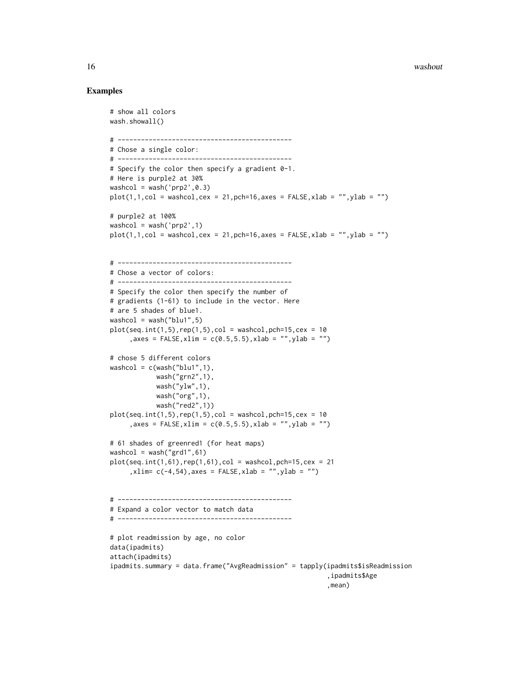#### 16 washout washout the contract of the contract of the contract of the contract of the contract of the contract of the contract of the contract of the contract of the contract of the contract of the contract of the contrac

#### Examples

# show all colors

```
wash.showall()
# ---------------------------------------------
# Chose a single color:
# ---------------------------------------------
# Specify the color then specify a gradient 0-1.
# Here is purple2 at 30%
washcol = wash('prp2', 0.3)
plot(1,1,col = washcol, cex = 21, pch=16, axes = FALSE, xlab = "", ylab = "")# purple2 at 100%
washcol = wash('prp2', 1)plot(1,1,col = washcol,cex = 21,pch=16,axes = FALSE, xlabel = ''',ylab = ''')# ---------------------------------------------
# Chose a vector of colors:
# ---------------------------------------------
# Specify the color then specify the number of
# gradients (1-61) to include in the vector. Here
# are 5 shades of blue1.
washcol = wash("blu1", 5)plot(seq.int(1,5), rep(1,5),col = washcol, pch=15, cex = 10, axes = FALSE, xlim = c(0.5, 5.5), xlab = "", ylab = "")# chose 5 different colors
washcol = c(wash("blu1", 1),wash("grn2",1),
            wash("ylw",1),
            wash("org",1),
            wash("red2",1))
plot(seq.int(1,5), rep(1,5),col = washcol, pch=15, cex = 10, axes = FALSE, xlim = c(0.5, 5.5), xlab = "", ylab = "")# 61 shades of greenred1 (for heat maps)
washcol = wash("grd1", 61)plot(seq.int(1,61),rep(1,61),col = washcol,peh=15,cex = 21,xlim= c(-4,54),axes = FALSE,xlab = "",ylab = "")
# ---------------------------------------------
# Expand a color vector to match data
# ---------------------------------------------
# plot readmission by age, no color
data(ipadmits)
attach(ipadmits)
ipadmits.summary = data.frame("AvgReadmission" = tapply(ipadmits$isReadmission
                                                         ,ipadmits$Age
                                                         ,mean)
```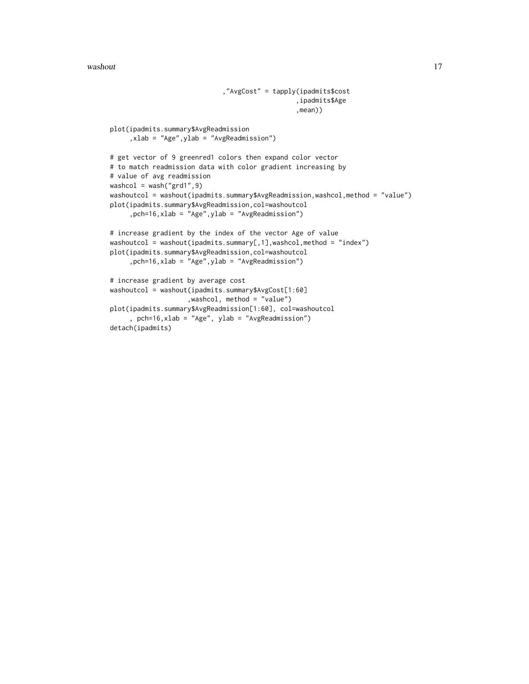#### washout the contract of the contract of the contract of the contract of the contract of the contract of the contract of the contract of the contract of the contract of the contract of the contract of the contract of the co

```
,"AvgCost" = tapply(ipadmits$cost
                                                ,ipadmits$Age
                                                ,mean))
plot(ipadmits.summary$AvgReadmission
     ,xlab = "Age",ylab = "AvgReadmission")
# get vector of 9 greenred1 colors then expand color vector
# to match readmission data with color gradient increasing by
# value of avg readmission
washcol = wash("grd1",9)
washoutcol = washout(ipadmits.summary$AvgReadmission,washcol,method = "value")
plot(ipadmits.summary$AvgReadmission,col=washoutcol
     ,pch=16,xlab = "Age",ylab = "AvgReadmission")
# increase gradient by the index of the vector Age of value
washoutcol = washout(ipadmits.summary[,1],washcol,method = "index")
plot(ipadmits.summary$AvgReadmission,col=washoutcol
     ,pch=16,xlab = "Age",ylab = "AvgReadmission")
# increase gradient by average cost
washoutcol = washout(ipadmits.summary$AvgCost[1:60]
                    ,washcol, method = "value")
plot(ipadmits.summary$AvgReadmission[1:60], col=washoutcol
     , pch=16,xlab = "Age", ylab = "AvgReadmission")
```
detach(ipadmits)